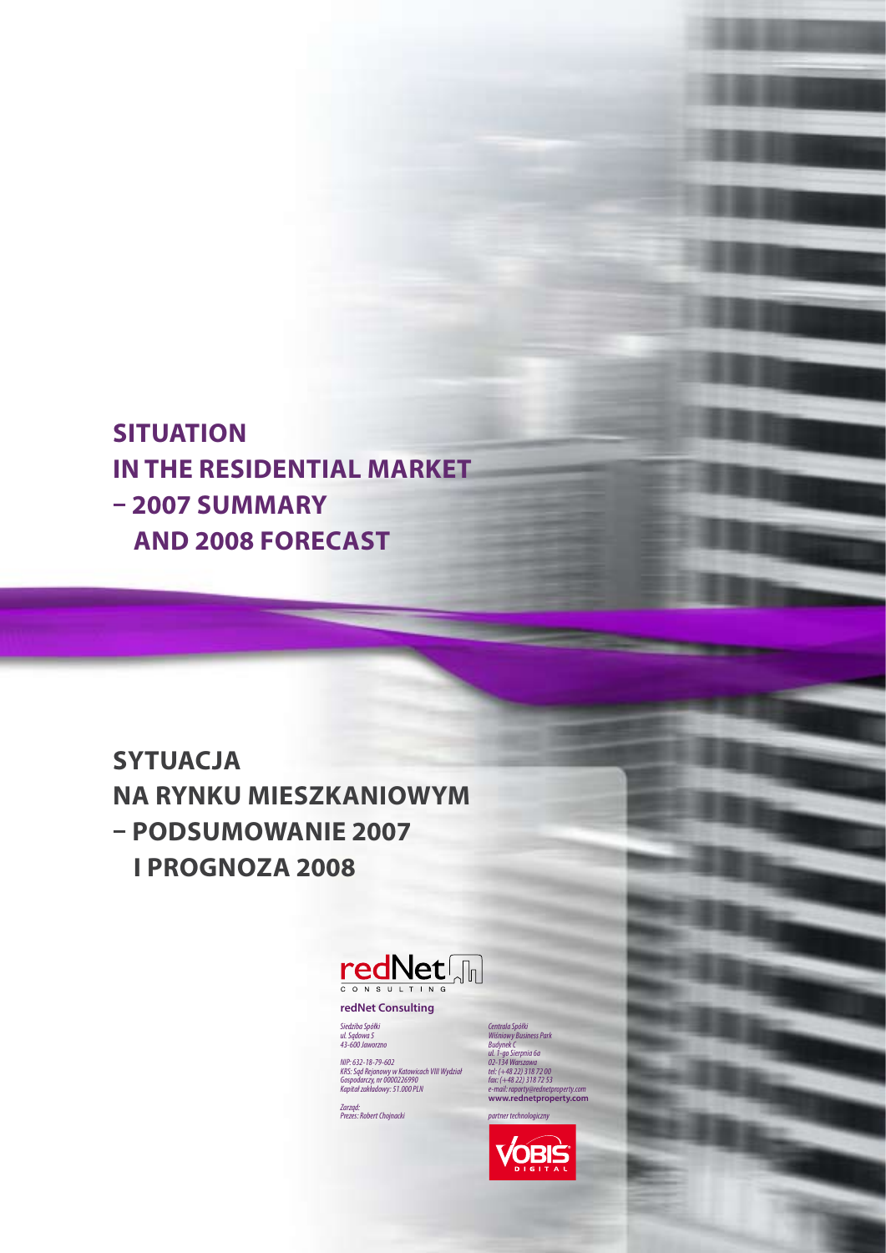**Situation in the residential market – 2007 summary and 2008 forecast**

**Sytuacja na rynku mieszkaniowym – podsumowanie 2007 i prognoza 2008**



**redNet Consulting**

*Siedziba Spółki ul. Sądowa 5 43-600 Jaworzno*

*NIP: 632-18-79-602 KRS: Sąd Rejonowy w Katowicach VIII Wydział Gospodarczy, nr 0000226990 Kapitał zakładowy: 51.000 PLN*

*Zarząd: Prezes: Robert Chojnacki*

*Centrala Spółki Wiśniowy Business Park Budynek C ul. 1-go Sierpnia 6a 02-134 Warszawa tel: (+48 22) 318 72 00 fax: (+48 22) 318 72 53*

*partner technologiczny*VOBIS

*e-mail: raporty@rednetproperty.com* **www.rednetproperty.com**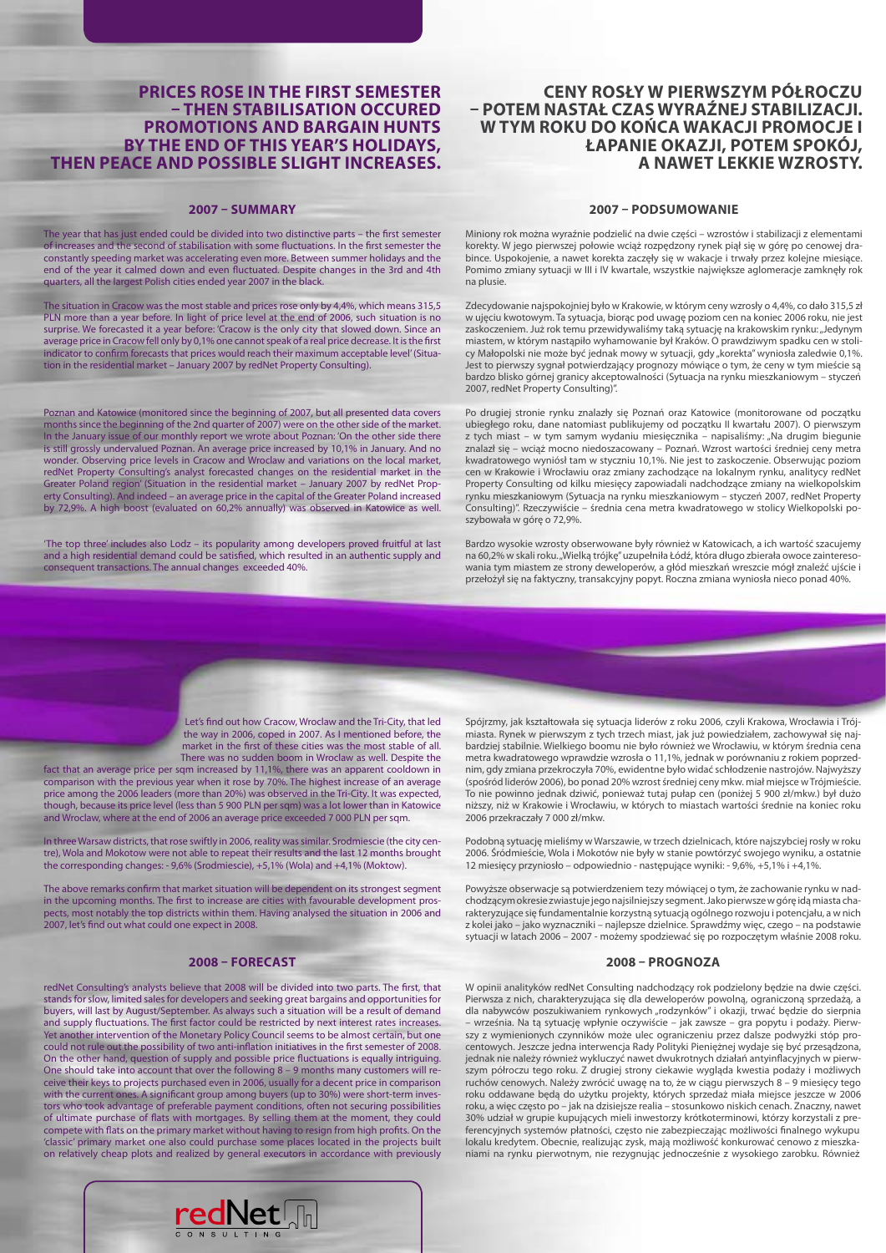#### **Prices rose in the first semester – then stabilisation occured Promotions and bargain hunts by the end of this year's holidays, then peace and possible slight increases.**

#### **2007 – SUMMARY**

The year that has just ended could be divided into two distinctive parts – the first semester of increases and the second of stabilisation with some fluctuations. In the first semester the constantly speeding market was accelerating even more. Between summer holidays and the end of the year it calmed down and even fluctuated. Despite changes in the 3rd and 4th quarters, all the largest Polish cities ended year 2007 in the black.

The situation in Cracow was the most stable and prices rose only by 4,4%, which means 315,5 PLN more than a year before. In light of price level at the end of 2006, such situation is no surprise. We forecasted it a year before: 'Cracow is the only city that slowed down. Since an average price in Cracow fell only by 0,1% one cannot speak of a real price decrease. It is the first indicator to confirm forecasts that prices would reach their maximum acceptable level' (Situation in the residential market – January 2007 by redNet Property Consulting).

Poznan and Katowice (monitored since the beginning of 2007, but all presented data covers months since the beginning of the 2nd quarter of 2007) were on the other side of the market. In the January issue of our monthly report we wrote about Poznan: 'On the other side there is still grossly undervalued Poznan. An average price increased by 10,1% in January. And no wonder. Observing price levels in Cracow and Wroclaw and variations on the local market, redNet Property Consulting's analyst forecasted changes on the residential market in the Greater Poland region' (Situation in the residential market – January 2007 by redNet Property Consulting). And indeed – an average price in the capital of the Greater Poland increased by 72,9%. A high boost (evaluated on 60,2% annually) was observed in Katowice as well.

'The top three' includes also Lodz – its popularity among developers proved fruitful at last and a high residential demand could be satisfied, which resulted in an authentic supply and consequent transactions. The annual changes exceeded 40%.

#### **Ceny rosły w pierwszym półroczu – potem nastał czas wyraźnej stabilizacji. W tym roku do końca wakacji promocje i łapanie okazji, potem spokój, a nawet lekkie wzrosty.**

#### **2007 – PODSUMOWANIE**

Miniony rok można wyraźnie podzielić na dwie części – wzrostów i stabilizacji z elementami korekty. W jego pierwszej połowie wciąż rozpędzony rynek piął się w górę po cenowej drabince. Uspokojenie, a nawet korekta zaczęły się w wakacje i trwały przez kolejne miesiące. Pomimo zmiany sytuacji w III i IV kwartale, wszystkie największe aglomeracje zamknęły rok na plusie.

Zdecydowanie najspokojniej było w Krakowie, w którym ceny wzrosły o 4,4%, co dało 315,5 zł w ujęciu kwotowym. Ta sytuacja, biorąc pod uwagę poziom cen na koniec 2006 roku, nie jest zaskoczeniem. Już rok temu przewidywaliśmy taką sytuację na krakowskim rynku: "Jedynym miastem, w którym nastąpiło wyhamowanie był Kraków. O prawdziwym spadku cen w stolicy Małopolski nie może być jednak mowy w sytuacji, gdy "korekta" wyniosła zaledwie 0,1%. Jest to pierwszy sygnał potwierdzający prognozy mówiące o tym, że ceny w tym mieście są bardzo blisko górnej granicy akceptowalności (Sytuacja na rynku mieszkaniowym – styczeń 2007, redNet Property Consulting)".

Po drugiej stronie rynku znalazły się Poznań oraz Katowice (monitorowane od początku ubiegłego roku, dane natomiast publikujemy od początku II kwartału 2007). O pierwszym z tych miast – w tym samym wydaniu miesięcznika – napisaliśmy: "Na drugim biegunie znalazł się – wciąż mocno niedoszacowany – Poznań. Wzrost wartości średniej ceny metra kwadratowego wyniósł tam w styczniu 10,1%. Nie jest to zaskoczenie. Obserwując poziom cen w Krakowie i Wrocławiu oraz zmiany zachodzące na lokalnym rynku, analitycy redNet Property Consulting od kilku miesięcy zapowiadali nadchodzące zmiany na wielkopolskim rynku mieszkaniowym (Sytuacja na rynku mieszkaniowym – styczeń 2007, redNet Property Consulting)". Rzeczywiście – średnia cena metra kwadratowego w stolicy Wielkopolski poszybowała w górę o 72,9%.

Bardzo wysokie wzrosty obserwowane były również w Katowicach, a ich wartość szacujemy na 60,2% w skali roku. "Wielką trójkę" uzupełniła Łódź, która długo zbierała owoce zainteresowania tym miastem ze strony deweloperów, a głód mieszkań wreszcie mógł znaleźć ujście i przełożył się na faktyczny, transakcyjny popyt. Roczna zmiana wyniosła nieco ponad 40%.

Let's find out how Cracow, Wroclaw and the Tri-City, that led the way in 2006, coped in 2007. As I mentioned before, the market in the first of these cities was the most stable of all. There was no sudden boom in Wroclaw as well. Despite the

fact that an average price per sqm increased by 11,1%, there was an apparent cooldown in comparison with the previous year when it rose by 70%. The highest increase of an average price among the 2006 leaders (more than 20%) was observed in the Tri-City. It was expected, though, because its price level (less than 5 900 PLN per sqm) was a lot lower than in Katowice and Wroclaw, where at the end of 2006 an average price exceeded 7 000 PLN per sqm.

In three Warsaw districts, that rose swiftly in 2006, reality was similar. Srodmiescie (the city centre), Wola and Mokotow were not able to repeat their results and the last 12 months brought the corresponding changes: - 9,6% (Srodmiescie), +5,1% (Wola) and +4,1% (Moktow).

The above remarks confirm that market situation will be dependent on its strongest segment in the upcoming months. The first to increase are cities with favourable development prospects, most notably the top districts within them. Having analysed the situation in 2006 and 2007, let's find out what could one expect in 2008.

#### **2008 – FORECAST**

redNet Consulting's analysts believe that 2008 will be divided into two parts. The first, that stands for slow, limited sales for developers and seeking great bargains and opportunities for buyers, will last by August/September. As always such a situation will be a result of demand and supply fluctuations. The first factor could be restricted by next interest rates increases. Yet another intervention of the Monetary Policy Council seems to be almost certain, but one could not rule out the possibility of two anti-inflation initiatives in the first semester of 2008. On the other hand, question of supply and possible price fluctuations is equally intriguing. One should take into account that over the following 8 – 9 months many customers will receive their keys to projects purchased even in 2006, usually for a decent price in comparison with the current ones. A significant group among buyers (up to 30%) were short-term investors who took advantage of preferable payment conditions, often not securing possibilities of ultimate purchase of flats with mortgages. By selling them at the moment, they could compete with flats on the primary market without having to resign from high profits. On the 'classic' primary market one also could purchase some places located in the projects built on relatively cheap plots and realized by general executors in accordance with previously



Spójrzmy, jak kształtowała się sytuacja liderów z roku 2006, czyli Krakowa, Wrocławia i Trójmiasta. Rynek w pierwszym z tych trzech miast, jak już powiedziałem, zachowywał się najbardziej stabilnie. Wielkiego boomu nie było również we Wrocławiu, w którym średnia cena metra kwadratowego wprawdzie wzrosła o 11,1%, jednak w porównaniu z rokiem poprzednim, gdy zmiana przekroczyła 70%, ewidentne było widać schłodzenie nastrojów. Najwyższy (spośród liderów 2006), bo ponad 20% wzrost średniej ceny mkw. miał miejsce w Trójmieście. To nie powinno jednak dziwić, ponieważ tutaj pułap cen (poniżej 5 900 zł/mkw.) był dużo niższy, niż w Krakowie i Wrocławiu, w których to miastach wartości średnie na koniec roku 2006 przekraczały 7 000 zł/mkw.

Podobną sytuację mieliśmy w Warszawie, w trzech dzielnicach, które najszybciej rosły w roku 2006. Śródmieście, Wola i Mokotów nie były w stanie powtórzyć swojego wyniku, a ostatnie 12 miesięcy przyniosło – odpowiednio - następujące wyniki: - 9,6%, +5,1% i +4,1%.

Powyższe obserwacje są potwierdzeniem tezy mówiącej o tym, że zachowanie rynku w nadchodzącym okresie zwiastuje jego najsilniejszy segment. Jako pierwsze w górę idą miasta charakteryzujące się fundamentalnie korzystną sytuacją ogólnego rozwoju i potencjału, a w nich z kolei jako – jako wyznaczniki – najlepsze dzielnice. Sprawdźmy więc, czego – na podstawie sytuacji w latach 2006 – 2007 - możemy spodziewać się po rozpoczętym właśnie 2008 roku.

#### **2008 – PROGNOZA**

W opinii analityków redNet Consulting nadchodzący rok podzielony będzie na dwie części. Pierwsza z nich, charakteryzująca się dla deweloperów powolną, ograniczoną sprzedażą, a dla nabywców poszukiwaniem rynkowych "rodzynków" i okazji, trwać będzie do sierpnia – września. Na tą sytuację wpłynie oczywiście – jak zawsze – gra popytu i podaży. Pierwszy z wymienionych czynników może ulec ograniczeniu przez dalsze podwyżki stóp procentowych. Jeszcze jedna interwencja Rady Polityki Pieniężnej wydaje się być przesądzona, jednak nie należy również wykluczyć nawet dwukrotnych działań antyinflacyjnych w pierwszym półroczu tego roku. Z drugiej strony ciekawie wygląda kwestia podaży i możliwych ruchów cenowych. Należy zwrócić uwagę na to, że w ciągu pierwszych 8 – 9 miesięcy tego roku oddawane będą do użytku projekty, których sprzedaż miała miejsce jeszcze w 2006 roku, a więc często po – jak na dzisiejsze realia – stosunkowo niskich cenach. Znaczny, nawet 30% udział w grupie kupujących mieli inwestorzy krótkoterminowi, którzy korzystali z preferencyjnych systemów płatności, często nie zabezpieczając możliwości finalnego wykupu lokalu kredytem. Obecnie, realizując zysk, mają możliwość konkurować cenowo z mieszkaniami na rynku pierwotnym, nie rezygnując jednocześnie z wysokiego zarobku. Również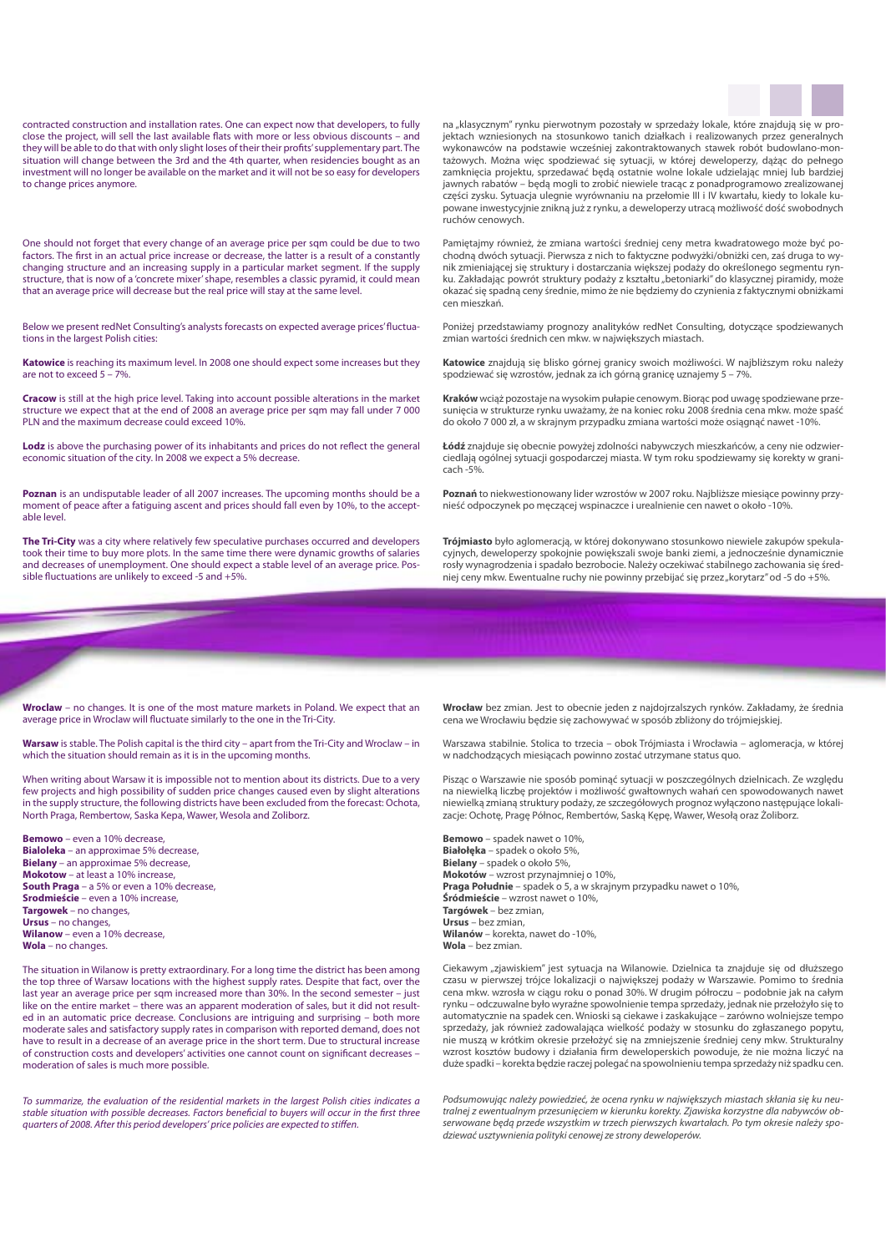contracted construction and installation rates. One can expect now that developers, to fully close the project, will sell the last available flats with more or less obvious discounts – and they will be able to do that with only slight loses of their their profits' supplementary part. The situation will change between the 3rd and the 4th quarter, when residencies bought as an investment will no longer be available on the market and it will not be so easy for developers to change prices anymore.

One should not forget that every change of an average price per sqm could be due to two factors. The first in an actual price increase or decrease, the latter is a result of a constantly changing structure and an increasing supply in a particular market segment. If the supply structure, that is now of a 'concrete mixer' shape, resembles a classic pyramid, it could mean that an average price will decrease but the real price will stay at the same level.

Below we present redNet Consulting's analysts forecasts on expected average prices' fluctuations in the largest Polish cities:

**Katowice** is reaching its maximum level. In 2008 one should expect some increases but they are not to exceed 5 – 7%.

**Cracow** is still at the high price level. Taking into account possible alterations in the market structure we expect that at the end of 2008 an average price per sqm may fall under 7 000 PLN and the maximum decrease could exceed 10%.

**Lodz** is above the purchasing power of its inhabitants and prices do not reflect the general economic situation of the city. In 2008 we expect a 5% decrease.

**Poznan** is an undisputable leader of all 2007 increases. The upcoming months should be a moment of peace after a fatiguing ascent and prices should fall even by 10%, to the acceptable level.

**The Tri-City** was a city where relatively few speculative purchases occurred and developers took their time to buy more plots. In the same time there were dynamic growths of salaries and decreases of unemployment. One should expect a stable level of an average price. Possible fluctuations are unlikely to exceed -5 and +5%.

na "klasycznym" rynku pierwotnym pozostały w sprzedaży lokale, które znajdują się w projektach wzniesionych na stosunkowo tanich działkach i realizowanych przez generalnych wykonawców na podstawie wcześniej zakontraktowanych stawek robót budowlano-montażowych. Można więc spodziewać się sytuacji, w której deweloperzy, dążąc do pełnego zamknięcia projektu, sprzedawać będą ostatnie wolne lokale udzielając mniej lub bardziej jawnych rabatów – będą mogli to zrobić niewiele tracąc z ponadprogramowo zrealizowanej części zysku. Sytuacja ulegnie wyrównaniu na przełomie III i IV kwartału, kiedy to lokale kupowane inwestycyjnie znikną już z rynku, a deweloperzy utracą możliwość dość swobodnych ruchów cenowych.

Pamiętajmy również, że zmiana wartości średniej ceny metra kwadratowego może być pochodną dwóch sytuacji. Pierwsza z nich to faktyczne podwyżki/obniżki cen, zaś druga to wynik zmieniającej się struktury i dostarczania większej podaży do określonego segmentu rynku. Zakładając powrót struktury podaży z kształtu "betoniarki" do klasycznej piramidy, może okazać się spadną ceny średnie, mimo że nie będziemy do czynienia z faktycznymi obniżkami cen mieszkań.

Poniżej przedstawiamy prognozy analityków redNet Consulting, dotyczące spodziewanych zmian wartości średnich cen mkw. w największych miastach.

**Katowice** znajdują się blisko górnej granicy swoich możliwości. W najbliższym roku należy spodziewać się wzrostów, jednak za ich górną granicę uznajemy 5 – 7%.

**Kraków** wciąż pozostaje na wysokim pułapie cenowym. Biorąc pod uwagę spodziewane przesunięcia w strukturze rynku uważamy, że na koniec roku 2008 średnia cena mkw. może spaść do około 7 000 zł, a w skrajnym przypadku zmiana wartości może osiągnąć nawet -10%.

**Łódź** znajduje się obecnie powyżej zdolności nabywczych mieszkańców, a ceny nie odzwierciedlają ogólnej sytuacji gospodarczej miasta. W tym roku spodziewamy się korekty w granicach -5%.

**Poznań** to niekwestionowany lider wzrostów w 2007 roku. Najbliższe miesiące powinny przynieść odpoczynek po męczącej wspinaczce i urealnienie cen nawet o około -10%.

**Trójmiasto** było aglomeracją, w której dokonywano stosunkowo niewiele zakupów spekulacyjnych, deweloperzy spokojnie powiększali swoje banki ziemi, a jednocześnie dynamicznie rosły wynagrodzenia i spadało bezrobocie. Należy oczekiwać stabilnego zachowania się średniej ceny mkw. Ewentualne ruchy nie powinny przebijać się przez "korytarz" od -5 do +5%.

**Wroclaw** – no changes. It is one of the most mature markets in Poland. We expect that an average price in Wroclaw will fluctuate similarly to the one in the Tri-City.

**Warsaw** is stable. The Polish capital is the third city – apart from the Tri-City and Wroclaw – in which the situation should remain as it is in the upcoming months.

When writing about Warsaw it is impossible not to mention about its districts. Due to a very few projects and high possibility of sudden price changes caused even by slight alterations in the supply structure, the following districts have been excluded from the forecast: Ochota, North Praga, Rembertow, Saska Kepa, Wawer, Wesola and Zoliborz.

**Bemowo** – even a 10% decrease, **Bialoleka** – an approximae 5% decrease, **Bielany** – an approximae 5% decrease, **Mokotow** – at least a 10% increase, **South Praga** – a 5% or even a 10% decrease, **Srodmieście** – even a 10% increase, **Targowek** – no changes, **Ursus** – no changes, **Wilanow** – even a 10% decrease, **Wola** – no changes.

The situation in Wilanow is pretty extraordinary. For a long time the district has been among the top three of Warsaw locations with the highest supply rates. Despite that fact, over the last year an average price per sqm increased more than 30%. In the second semester – just like on the entire market – there was an apparent moderation of sales, but it did not resulted in an automatic price decrease. Conclusions are intriguing and surprising – both more moderate sales and satisfactory supply rates in comparison with reported demand, does not have to result in a decrease of an average price in the short term. Due to structural increase of construction costs and developers' activities one cannot count on significant decreases – moderation of sales is much more possible.

*To summarize, the evaluation of the residential markets in the largest Polish cities indicates a stable situation with possible decreases. Factors beneficial to buyers will occur in the first three quarters of 2008. After this period developers' price policies are expected to stiffen.*

**Wrocław** bez zmian. Jest to obecnie jeden z najdojrzalszych rynków. Zakładamy, że średnia cena we Wrocławiu będzie się zachowywać w sposób zbliżony do trójmiejskiej.

Warszawa stabilnie. Stolica to trzecia – obok Trójmiasta i Wrocławia – aglomeracja, w której w nadchodzących miesiącach powinno zostać utrzymane status quo.

Pisząc o Warszawie nie sposób pominąć sytuacji w poszczególnych dzielnicach. Ze względu na niewielką liczbę projektów i możliwość gwałtownych wahań cen spowodowanych nawet niewielką zmianą struktury podaży, ze szczegółowych prognoz wyłączono następujące lokalizacje: Ochotę, Pragę Północ, Rembertów, Saską Kępę, Wawer, Wesołą oraz Żoliborz.

**Bemowo** – spadek nawet o 10%, **Białołęka** – spadek o około 5%, **Bielany** – spadek o około 5%, **Mokotów** – wzrost przynajmniej o 10%, **Praga Południe** – spadek o 5, a w skrajnym przypadku nawet o 10%, **Śródmieście** – wzrost nawet o 10%, **Targówek** – bez zmian, **Ursus** – bez zmian, **Wilanów** – korekta, nawet do -10%, **Wola** – bez zmian.

Ciekawym "zjawiskiem" jest sytuacja na Wilanowie. Dzielnica ta znajduje się od dłuższego czasu w pierwszej trójce lokalizacji o największej podaży w Warszawie. Pomimo to średnia cena mkw. wzrosła w ciągu roku o ponad 30%. W drugim półroczu – podobnie jak na całym rynku – odczuwalne było wyraźne spowolnienie tempa sprzedaży, jednak nie przełożyło się to automatycznie na spadek cen. Wnioski są ciekawe i zaskakujące – zarówno wolniejsze tempo sprzedaży, jak również zadowalająca wielkość podaży w stosunku do zgłaszanego popytu, nie muszą w krótkim okresie przełożyć się na zmniejszenie średniej ceny mkw. Strukturalny wzrost kosztów budowy i działania firm deweloperskich powoduje, że nie można liczyć na duże spadki – korekta będzie raczej polegać na spowolnieniu tempa sprzedaży niż spadku cen.

*Podsumowując należy powiedzieć, że ocena rynku w największych miastach skłania się ku neutralnej z ewentualnym przesunięciem w kierunku korekty. Zjawiska korzystne dla nabywców obserwowane będą przede wszystkim w trzech pierwszych kwartałach. Po tym okresie należy spodziewać usztywnienia polityki cenowej ze strony deweloperów.*

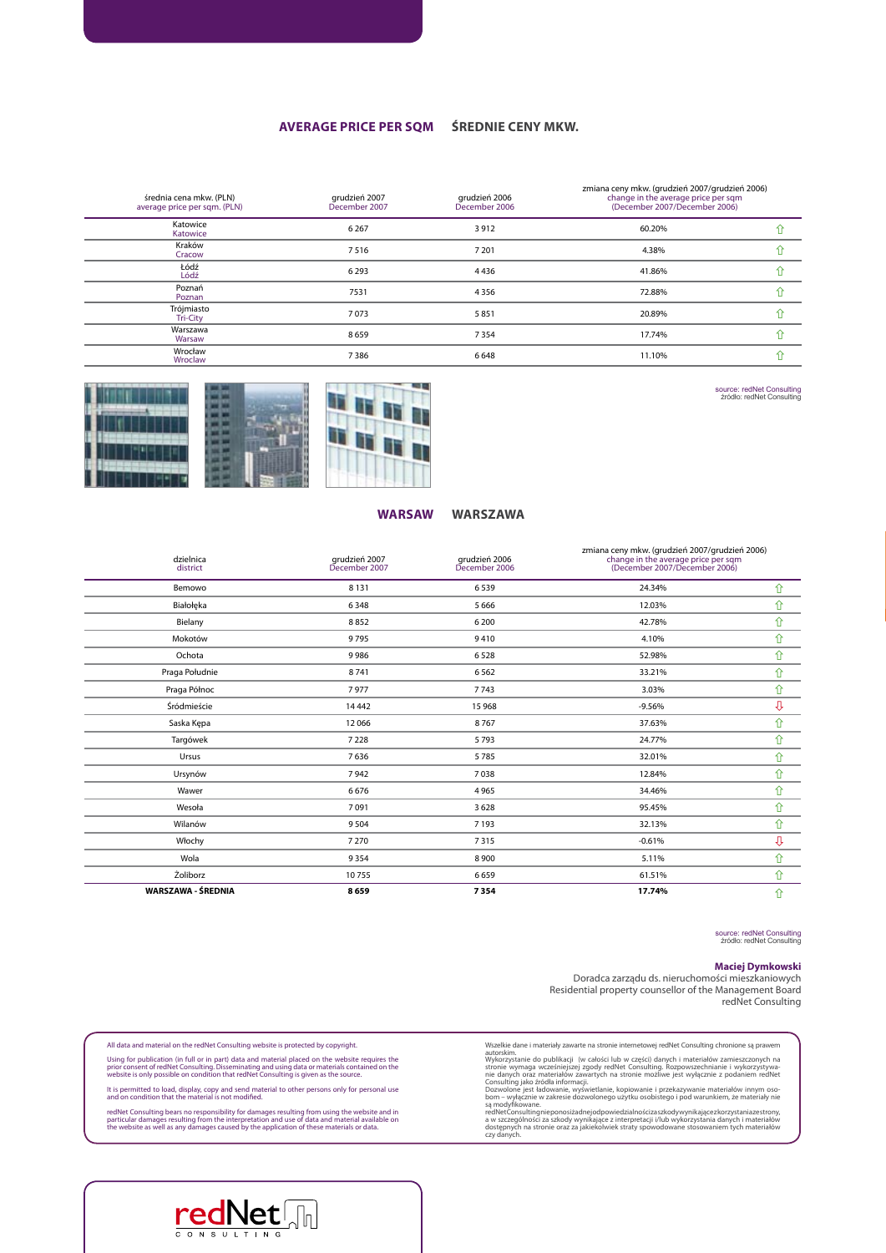#### **Average price per sqm Średnie ceny mkw.**

| średnia cena mkw. (PLN)<br>average price per sqm. (PLN) | grudzień 2007<br>December 2007 | grudzień 2006<br>December 2006 | zmiana ceny mkw. (grudzień 2007/grudzień 2006)<br>change in the average price per sqm<br>(December 2007/December 2006) |  |
|---------------------------------------------------------|--------------------------------|--------------------------------|------------------------------------------------------------------------------------------------------------------------|--|
| Katowice<br>Katowice                                    | 6 2 6 7                        | 3912                           | 60.20%                                                                                                                 |  |
| Kraków<br>Cracow                                        | 7516                           | 7 2 0 1                        | 4.38%                                                                                                                  |  |
| Łódź<br>Lódź                                            | 6293                           | 4436                           | 41.86%                                                                                                                 |  |
| Poznań<br>Poznan                                        | 7531                           | 4 3 5 6                        | 72.88%                                                                                                                 |  |
| Trójmiasto<br><b>Tri-City</b>                           | 7073                           | 5851                           | 20.89%                                                                                                                 |  |
| Warszawa<br>Warsaw                                      | 8659                           | 7354                           | 17.74%                                                                                                                 |  |
| Wrocław<br>Wroclaw                                      | 7386                           | 6648                           | 11.10%                                                                                                                 |  |



**warsaw** 

#### **warszawa**

#### dzielnica district grudzień 2007 December 2007 grudzień 2006 December 2006 zmiana ceny mkw. (grudzień 2007/grudzień 2006) change in the average price per sqm (December 2007/December 2006) Bemowo 8 131 8  $131$  6 539 24.34%  $24.34\%$ Białołęka 6 348 6 348 5 666 12.03% hade 12.03% f $\hat{U}$ Bielany 8 852 6 200 42.78% ñ Mokotów 9 795 9 410 4.10% ñ Ochota 9 986 6 528 52.98% ñ Praga Południe 8 741 6 562 33.21% ñ Praga Północ  $\gamma$  7 977 7 743 3.03%  $\gamma$  $\frac{14442}{15968}$  15 968 -9.56% -9.56% Saska Kępa 12 066 6 8 767 37.63% aska Kępa 12 066 12 37.63% aska Kępa 12 37.63% aska Kępa 12 37.63% aska Kępa 12 37.63% aska K Targówek 7 228 5 793 24.77% ñ Ursus 7 636 5 785 32.01% ñ Ursynów 7 942 7 038 12.84% ñ Wawer 6676 676 4965 34.46% 34.46%  $\hat{1}$ Wesoła 7 091 3 628 95.45% ñ Wilanów 9 504 7 193 32.13% ñ Włochy 200  $7\,270$  7 315  $-0.61\%$ Wola 9 354 8 900 5.11% ñ  $\hat{L}$ oliborz 61.51% for the contract of  $\hat{L}$  659 61.51% for the contract of  $\hat{L}$ **WARSZAWA - ŚREDNIA 8 659 7 354 17.74%** ñ

source: redNet Consulting źródło: redNet Consulting

source: redNet Consulting źródło: redNet Consulting

#### **Maciej Dymkowski**

Doradca zarządu ds. nieruchomości mieszkaniowych Residential property counsellor of the Management Board redNet Consulting

All data and material on the redNet Consulting website is protected by copyright. Using for publication (in full or in part) data and material placed on the website requires the<br>prior consent of redNet Consulting. Disseminating and using data or materials contained on the<br>website is only possible on con

It is permitted to load, display, copy and send material to other persons only for personal use and on condition that the material is not modified.

redNet Consulting bears no responsibility for damages resulting from using the website and in<br>particular damages resulting from the interpretation and use of data and material available on<br>the website as well as any damage

Wzzelkie dane i materiały zawarte na stronie internetowej redNet Consulting chronione są prawem autorskim. Chrometoskim stronie i materiały wykorzystanie do publikacji (w całości lub w części) danych i nateriałów zawartyc